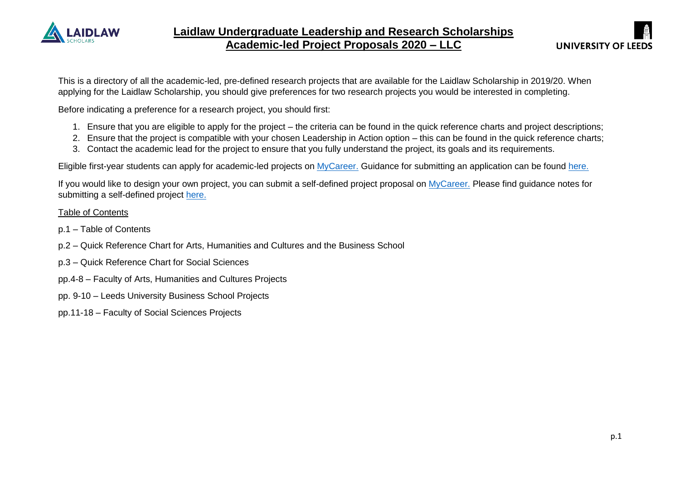

This is a directory of all the academic-led, pre-defined research projects that are available for the Laidlaw Scholarship in 2019/20. When applying for the Laidlaw Scholarship, you should give preferences for two research projects you would be interested in completing.

Before indicating a preference for a research project, you should first:

- 1. Ensure that you are eligible to apply for the project the criteria can be found in the quick reference charts and project descriptions;
- 2. Ensure that the project is compatible with your chosen Leadership in Action option this can be found in the quick reference charts;
- 3. Contact the academic lead for the project to ensure that you fully understand the project, its goals and its requirements.

Eligible first-year students can apply for academic-led projects on [MyCareer.](https://mycareer.leeds.ac.uk/leap/placements.html?page=schemes&id=43) Guidance for submitting an application can be found [here.](https://mycareer.leeds.ac.uk/employerConnect/scheme.html?execution=e1s2)

If you would like to design your own project, you can submit a self-defined project proposal on [MyCareer.](https://mycareer.leeds.ac.uk/leap/placements.html?page=schemes&id=43) Please find guidance notes for submitting a self-defined project [here.](https://mycareer.leeds.ac.uk/employerConnect/scheme.html?execution=e1s2)

#### Table of Contents

- p.1 Table of Contents
- p.2 Quick Reference Chart for Arts, Humanities and Cultures and the Business School
- p.3 Quick Reference Chart for Social Sciences
- pp.4-8 Faculty of Arts, Humanities and Cultures Projects
- pp. 9-10 Leeds University Business School Projects
- pp.11-18 Faculty of Social Sciences Projects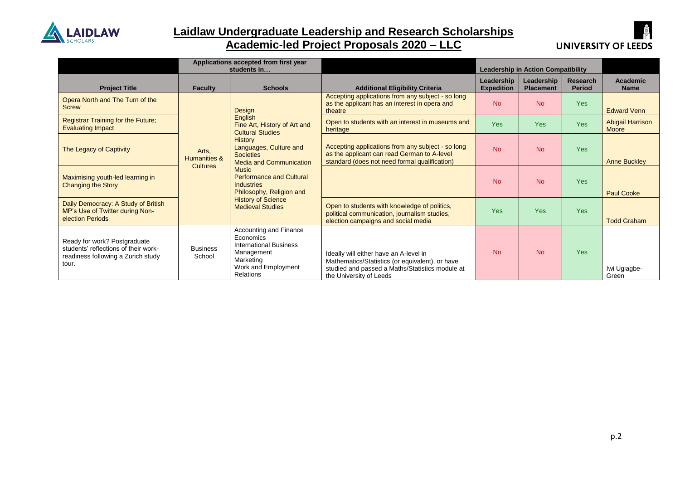

### **Laidlaw Undergraduate Leadership and Research Scholarships Academic-led Project Proposals 2020 – LLC**



|                                                                                                                     | Applications accepted from first year<br><b>Leadership in Action Compatibility</b><br>students in |                                                                                                                                                                                                                                                                                                                                     |                                                                                                                                                                         |                                 |                                |                           |                                  |
|---------------------------------------------------------------------------------------------------------------------|---------------------------------------------------------------------------------------------------|-------------------------------------------------------------------------------------------------------------------------------------------------------------------------------------------------------------------------------------------------------------------------------------------------------------------------------------|-------------------------------------------------------------------------------------------------------------------------------------------------------------------------|---------------------------------|--------------------------------|---------------------------|----------------------------------|
| <b>Project Title</b>                                                                                                | <b>Faculty</b>                                                                                    | <b>Schools</b>                                                                                                                                                                                                                                                                                                                      | <b>Additional Eligibility Criteria</b>                                                                                                                                  | Leadership<br><b>Expedition</b> | Leadership<br><b>Placement</b> | Research<br><b>Period</b> | <b>Academic</b><br><b>Name</b>   |
| Opera North and The Turn of the<br><b>Screw</b>                                                                     |                                                                                                   | Design<br>English<br>Fine Art, History of Art and<br><b>Cultural Studies</b><br><b>History</b><br>Languages, Culture and<br><b>Societies</b><br>Media and Communication<br><b>Music</b><br><b>Performance and Cultural</b><br><b>Industries</b><br>Philosophy, Religion and<br><b>History of Science</b><br><b>Medieval Studies</b> | Accepting applications from any subject - so long<br>as the applicant has an interest in opera and<br>theatre                                                           | <b>No</b>                       | <b>No</b>                      | <b>Yes</b>                | <b>Edward Venn</b>               |
| <b>Registrar Training for the Future;</b><br><b>Evaluating Impact</b>                                               | Arts,<br>Humanities &<br><b>Cultures</b>                                                          |                                                                                                                                                                                                                                                                                                                                     | Open to students with an interest in museums and<br>heritage                                                                                                            | <b>Yes</b>                      | Yes                            | <b>Yes</b>                | <b>Abigail Harrison</b><br>Moore |
| The Legacy of Captivity                                                                                             |                                                                                                   |                                                                                                                                                                                                                                                                                                                                     | Accepting applications from any subject - so long<br>as the applicant can read German to A-level<br>standard (does not need formal qualification)                       | <b>No</b>                       | <b>No</b>                      | <b>Yes</b>                | <b>Anne Buckley</b>              |
| Maximising youth-led learning in<br><b>Changing the Story</b>                                                       |                                                                                                   |                                                                                                                                                                                                                                                                                                                                     |                                                                                                                                                                         | <b>No</b>                       | <b>No</b>                      | <b>Yes</b>                | <b>Paul Cooke</b>                |
| Daily Democracy: A Study of British<br>MP's Use of Twitter during Non-<br>election Periods                          |                                                                                                   |                                                                                                                                                                                                                                                                                                                                     | Open to students with knowledge of politics,<br>political communication, journalism studies,<br>election campaigns and social media                                     | <b>Yes</b>                      | Yes                            | <b>Yes</b>                | <b>Todd Graham</b>               |
| Ready for work? Postgraduate<br>students' reflections of their work-<br>readiness following a Zurich study<br>tour. | <b>Business</b><br>School                                                                         | Accounting and Finance<br>Economics<br><b>International Business</b><br>Management<br>Marketing<br>Work and Employment<br><b>Relations</b>                                                                                                                                                                                          | Ideally will either have an A-level in<br>Mathematics/Statistics (or equivalent), or have<br>studied and passed a Maths/Statistics module at<br>the University of Leeds | <b>No</b>                       | <b>No</b>                      | <b>Yes</b>                | Iwi Ugiagbe-<br>Green            |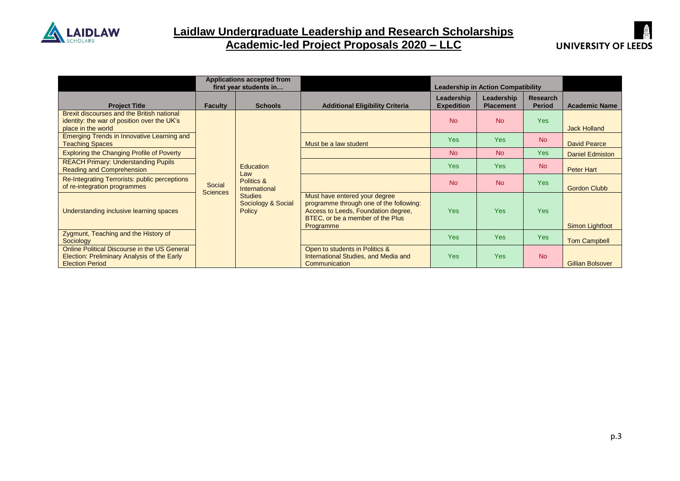

#### **Laidlaw Undergraduate Leadership and Research Scholarships Academic-led Project Proposals 2020 – LLC**



|                                                                                                                       | <b>Applications accepted from</b><br>first year students in |                                                       |                                                                                                                                                                  | <b>Leadership in Action Compatibility</b> |                                |                                  |                         |
|-----------------------------------------------------------------------------------------------------------------------|-------------------------------------------------------------|-------------------------------------------------------|------------------------------------------------------------------------------------------------------------------------------------------------------------------|-------------------------------------------|--------------------------------|----------------------------------|-------------------------|
| <b>Project Title</b>                                                                                                  | <b>Faculty</b>                                              | <b>Schools</b>                                        | <b>Additional Eligibility Criteria</b>                                                                                                                           | Leadership<br><b>Expedition</b>           | Leadership<br><b>Placement</b> | <b>Research</b><br><b>Period</b> | <b>Academic Name</b>    |
| Brexit discourses and the British national<br>identity: the war of position over the UK's<br>place in the world       |                                                             |                                                       |                                                                                                                                                                  | <b>No</b>                                 | <b>No</b>                      | <b>Yes</b>                       | <b>Jack Holland</b>     |
| <b>Emerging Trends in Innovative Learning and</b><br><b>Teaching Spaces</b>                                           |                                                             |                                                       | Must be a law student                                                                                                                                            | <b>Yes</b>                                | <b>Yes</b>                     | <b>No</b>                        | <b>David Pearce</b>     |
| <b>Exploring the Changing Profile of Poverty</b>                                                                      |                                                             |                                                       |                                                                                                                                                                  | <b>No</b>                                 | <b>No</b>                      | Yes                              | <b>Daniel Edmiston</b>  |
| <b>REACH Primary: Understanding Pupils</b><br><b>Reading and Comprehension</b>                                        |                                                             | <b>Education</b><br>Law                               |                                                                                                                                                                  | <b>Yes</b>                                | <b>Yes</b>                     | <b>No</b>                        | Peter Hart              |
| Re-Integrating Terrorists: public perceptions<br>of re-integration programmes                                         | Social                                                      | Politics &<br>International                           |                                                                                                                                                                  | <b>No</b>                                 | <b>No</b>                      | <b>Yes</b>                       | <b>Gordon Clubb</b>     |
| Understanding inclusive learning spaces                                                                               | <b>Sciences</b>                                             | <b>Studies</b><br>Sociology & Social<br><b>Policy</b> | Must have entered your degree<br>programme through one of the following:<br>Access to Leeds, Foundation degree,<br>BTEC, or be a member of the Plus<br>Programme | <b>Yes</b>                                | Yes                            | <b>Yes</b>                       | Simon Lightfoot         |
| Zygmunt, Teaching and the History of<br>Sociology                                                                     |                                                             |                                                       |                                                                                                                                                                  | <b>Yes</b>                                | Yes                            | <b>Yes</b>                       | <b>Tom Campbell</b>     |
| Online Political Discourse in the US General<br>Election: Preliminary Analysis of the Early<br><b>Election Period</b> |                                                             |                                                       | Open to students in Politics &<br>International Studies, and Media and<br>Communication                                                                          | <b>Yes</b>                                | <b>Yes</b>                     | <b>No</b>                        | <b>Gillian Bolsover</b> |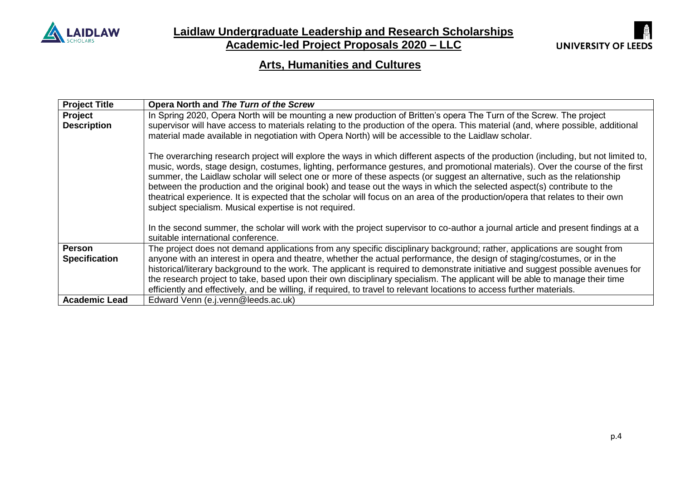

**Laidlaw Undergraduate Leadership and Research Scholarships**

**Academic-led Project Proposals 2020 – LLC**



## **Arts, Humanities and Cultures**

| <b>Project Title</b> | Opera North and The Turn of the Screw                                                                                               |
|----------------------|-------------------------------------------------------------------------------------------------------------------------------------|
| Project              | In Spring 2020, Opera North will be mounting a new production of Britten's opera The Turn of the Screw. The project                 |
| <b>Description</b>   | supervisor will have access to materials relating to the production of the opera. This material (and, where possible, additional    |
|                      | material made available in negotiation with Opera North) will be accessible to the Laidlaw scholar.                                 |
|                      |                                                                                                                                     |
|                      | The overarching research project will explore the ways in which different aspects of the production (including, but not limited to, |
|                      | music, words, stage design, costumes, lighting, performance gestures, and promotional materials). Over the course of the first      |
|                      | summer, the Laidlaw scholar will select one or more of these aspects (or suggest an alternative, such as the relationship           |
|                      | between the production and the original book) and tease out the ways in which the selected aspect(s) contribute to the              |
|                      | theatrical experience. It is expected that the scholar will focus on an area of the production/opera that relates to their own      |
|                      | subject specialism. Musical expertise is not required.                                                                              |
|                      |                                                                                                                                     |
|                      | In the second summer, the scholar will work with the project supervisor to co-author a journal article and present findings at a    |
|                      | suitable international conference.                                                                                                  |
| <b>Person</b>        | The project does not demand applications from any specific disciplinary background; rather, applications are sought from            |
| <b>Specification</b> | anyone with an interest in opera and theatre, whether the actual performance, the design of staging/costumes, or in the             |
|                      | historical/literary background to the work. The applicant is required to demonstrate initiative and suggest possible avenues for    |
|                      | the research project to take, based upon their own disciplinary specialism. The applicant will be able to manage their time         |
|                      | efficiently and effectively, and be willing, if required, to travel to relevant locations to access further materials.              |
| <b>Academic Lead</b> | Edward Venn (e.j.venn@leeds.ac.uk)                                                                                                  |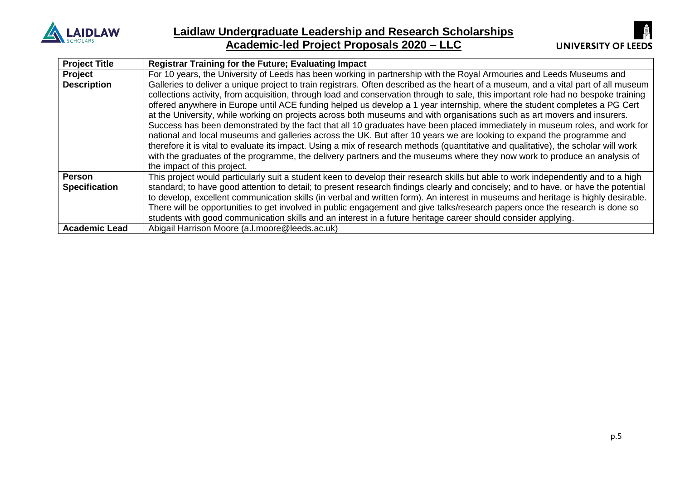



| <b>Project Title</b> | <b>Registrar Training for the Future; Evaluating Impact</b>                                                                         |
|----------------------|-------------------------------------------------------------------------------------------------------------------------------------|
| <b>Project</b>       | For 10 years, the University of Leeds has been working in partnership with the Royal Armouries and Leeds Museums and                |
| <b>Description</b>   | Galleries to deliver a unique project to train registrars. Often described as the heart of a museum, and a vital part of all museum |
|                      | collections activity, from acquisition, through load and conservation through to sale, this important role had no bespoke training  |
|                      | offered anywhere in Europe until ACE funding helped us develop a 1 year internship, where the student completes a PG Cert           |
|                      | at the University, while working on projects across both museums and with organisations such as art movers and insurers.            |
|                      | Success has been demonstrated by the fact that all 10 graduates have been placed immediately in museum roles, and work for          |
|                      | national and local museums and galleries across the UK. But after 10 years we are looking to expand the programme and               |
|                      | therefore it is vital to evaluate its impact. Using a mix of research methods (quantitative and qualitative), the scholar will work |
|                      | with the graduates of the programme, the delivery partners and the museums where they now work to produce an analysis of            |
|                      | the impact of this project.                                                                                                         |
| Person               | This project would particularly suit a student keen to develop their research skills but able to work independently and to a high   |
| <b>Specification</b> | standard; to have good attention to detail; to present research findings clearly and concisely; and to have, or have the potential  |
|                      | to develop, excellent communication skills (in verbal and written form). An interest in museums and heritage is highly desirable.   |
|                      | There will be opportunities to get involved in public engagement and give talks/research papers once the research is done so        |
|                      | students with good communication skills and an interest in a future heritage career should consider applying.                       |
| <b>Academic Lead</b> | Abigail Harrison Moore (a.l.moore@leeds.ac.uk)                                                                                      |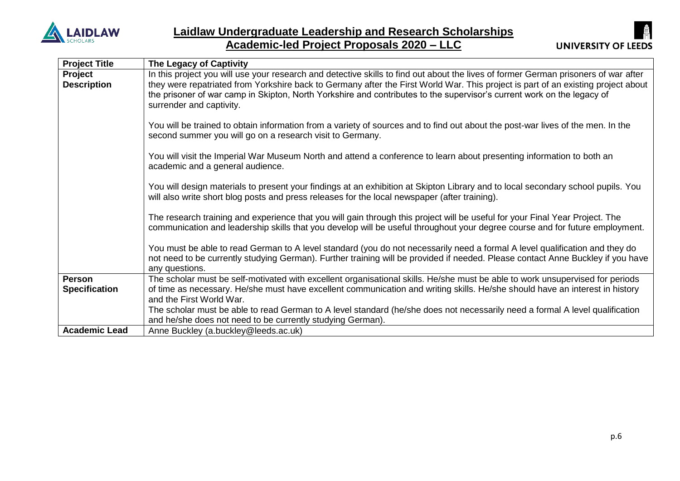



| <b>Project Title</b>                  | The Legacy of Captivity                                                                                                                                                                                                                                                                                                                                                                                                        |
|---------------------------------------|--------------------------------------------------------------------------------------------------------------------------------------------------------------------------------------------------------------------------------------------------------------------------------------------------------------------------------------------------------------------------------------------------------------------------------|
| Project<br><b>Description</b>         | In this project you will use your research and detective skills to find out about the lives of former German prisoners of war after<br>they were repatriated from Yorkshire back to Germany after the First World War. This project is part of an existing project about<br>the prisoner of war camp in Skipton, North Yorkshire and contributes to the supervisor's current work on the legacy of<br>surrender and captivity. |
|                                       | You will be trained to obtain information from a variety of sources and to find out about the post-war lives of the men. In the<br>second summer you will go on a research visit to Germany.                                                                                                                                                                                                                                   |
|                                       | You will visit the Imperial War Museum North and attend a conference to learn about presenting information to both an<br>academic and a general audience.                                                                                                                                                                                                                                                                      |
|                                       | You will design materials to present your findings at an exhibition at Skipton Library and to local secondary school pupils. You<br>will also write short blog posts and press releases for the local newspaper (after training).                                                                                                                                                                                              |
|                                       | The research training and experience that you will gain through this project will be useful for your Final Year Project. The<br>communication and leadership skills that you develop will be useful throughout your degree course and for future employment.                                                                                                                                                                   |
|                                       | You must be able to read German to A level standard (you do not necessarily need a formal A level qualification and they do<br>not need to be currently studying German). Further training will be provided if needed. Please contact Anne Buckley if you have<br>any questions.                                                                                                                                               |
| <b>Person</b><br><b>Specification</b> | The scholar must be self-motivated with excellent organisational skills. He/she must be able to work unsupervised for periods<br>of time as necessary. He/she must have excellent communication and writing skills. He/she should have an interest in history<br>and the First World War.                                                                                                                                      |
|                                       | The scholar must be able to read German to A level standard (he/she does not necessarily need a formal A level qualification<br>and he/she does not need to be currently studying German).                                                                                                                                                                                                                                     |
| <b>Academic Lead</b>                  | Anne Buckley (a.buckley@leeds.ac.uk)                                                                                                                                                                                                                                                                                                                                                                                           |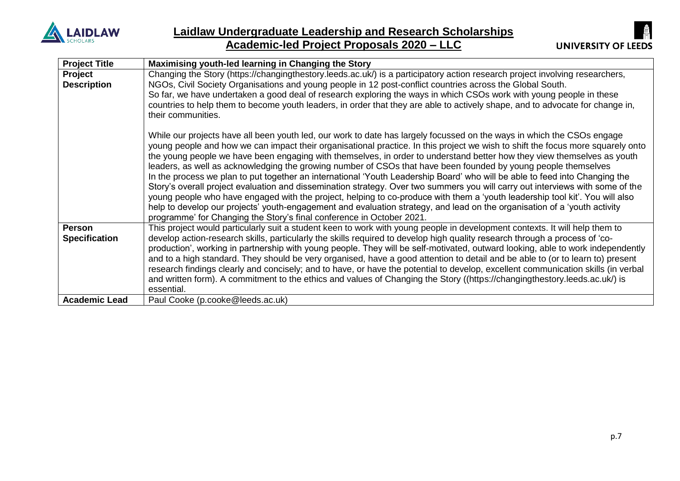



| <b>Project Title</b>                  | Maximising youth-led learning in Changing the Story                                                                                                                                                                                                                                                                                                                                                                                                                                                                                                                                                                                                                                                                                                                                                                                                                                                                                                                                                                                                                                                           |
|---------------------------------------|---------------------------------------------------------------------------------------------------------------------------------------------------------------------------------------------------------------------------------------------------------------------------------------------------------------------------------------------------------------------------------------------------------------------------------------------------------------------------------------------------------------------------------------------------------------------------------------------------------------------------------------------------------------------------------------------------------------------------------------------------------------------------------------------------------------------------------------------------------------------------------------------------------------------------------------------------------------------------------------------------------------------------------------------------------------------------------------------------------------|
| Project<br><b>Description</b>         | Changing the Story (https://changingthestory.leeds.ac.uk/) is a participatory action research project involving researchers,<br>NGOs, Civil Society Organisations and young people in 12 post-conflict countries across the Global South.<br>So far, we have undertaken a good deal of research exploring the ways in which CSOs work with young people in these<br>countries to help them to become youth leaders, in order that they are able to actively shape, and to advocate for change in,<br>their communities.                                                                                                                                                                                                                                                                                                                                                                                                                                                                                                                                                                                       |
|                                       | While our projects have all been youth led, our work to date has largely focussed on the ways in which the CSOs engage<br>young people and how we can impact their organisational practice. In this project we wish to shift the focus more squarely onto<br>the young people we have been engaging with themselves, in order to understand better how they view themselves as youth<br>leaders, as well as acknowledging the growing number of CSOs that have been founded by young people themselves<br>In the process we plan to put together an international 'Youth Leadership Board' who will be able to feed into Changing the<br>Story's overall project evaluation and dissemination strategy. Over two summers you will carry out interviews with some of the<br>young people who have engaged with the project, helping to co-produce with them a 'youth leadership tool kit'. You will also<br>help to develop our projects' youth-engagement and evaluation strategy, and lead on the organisation of a 'youth activity<br>programme' for Changing the Story's final conference in October 2021. |
| <b>Person</b><br><b>Specification</b> | This project would particularly suit a student keen to work with young people in development contexts. It will help them to<br>develop action-research skills, particularly the skills required to develop high quality research through a process of 'co-<br>production', working in partnership with young people. They will be self-motivated, outward looking, able to work independently<br>and to a high standard. They should be very organised, have a good attention to detail and be able to (or to learn to) present<br>research findings clearly and concisely; and to have, or have the potential to develop, excellent communication skills (in verbal<br>and written form). A commitment to the ethics and values of Changing the Story ((https://changingthestory.leeds.ac.uk/) is<br>essential.                                                                                                                                                                                                                                                                                              |
| <b>Academic Lead</b>                  | Paul Cooke (p.cooke@leeds.ac.uk)                                                                                                                                                                                                                                                                                                                                                                                                                                                                                                                                                                                                                                                                                                                                                                                                                                                                                                                                                                                                                                                                              |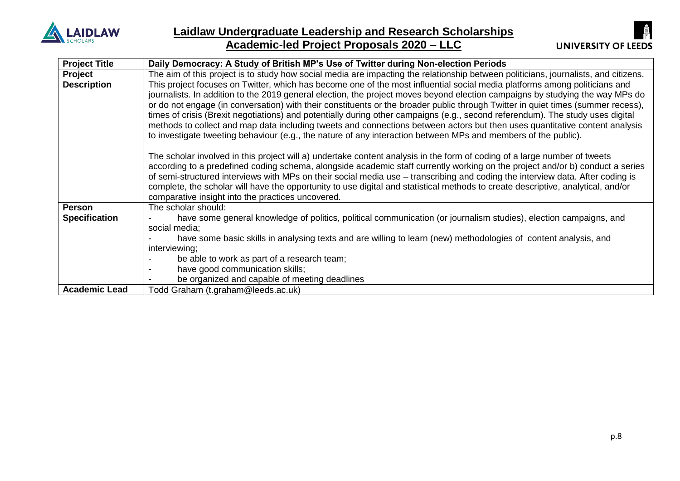



| <b>Project Title</b> | Daily Democracy: A Study of British MP's Use of Twitter during Non-election Periods                                                 |  |  |  |  |
|----------------------|-------------------------------------------------------------------------------------------------------------------------------------|--|--|--|--|
| Project              | The aim of this project is to study how social media are impacting the relationship between politicians, journalists, and citizens. |  |  |  |  |
| <b>Description</b>   | This project focuses on Twitter, which has become one of the most influential social media platforms among politicians and          |  |  |  |  |
|                      | journalists. In addition to the 2019 general election, the project moves beyond election campaigns by studying the way MPs do       |  |  |  |  |
|                      | or do not engage (in conversation) with their constituents or the broader public through Twitter in quiet times (summer recess),    |  |  |  |  |
|                      | times of crisis (Brexit negotiations) and potentially during other campaigns (e.g., second referendum). The study uses digital      |  |  |  |  |
|                      | methods to collect and map data including tweets and connections between actors but then uses quantitative content analysis         |  |  |  |  |
|                      | to investigate tweeting behaviour (e.g., the nature of any interaction between MPs and members of the public).                      |  |  |  |  |
|                      |                                                                                                                                     |  |  |  |  |
|                      | The scholar involved in this project will a) undertake content analysis in the form of coding of a large number of tweets           |  |  |  |  |
|                      | according to a predefined coding schema, alongside academic staff currently working on the project and/or b) conduct a series       |  |  |  |  |
|                      | of semi-structured interviews with MPs on their social media use – transcribing and coding the interview data. After coding is      |  |  |  |  |
|                      | complete, the scholar will have the opportunity to use digital and statistical methods to create descriptive, analytical, and/or    |  |  |  |  |
|                      | comparative insight into the practices uncovered.                                                                                   |  |  |  |  |
| <b>Person</b>        | The scholar should:                                                                                                                 |  |  |  |  |
| <b>Specification</b> | have some general knowledge of politics, political communication (or journalism studies), election campaigns, and                   |  |  |  |  |
|                      | social media;                                                                                                                       |  |  |  |  |
|                      | have some basic skills in analysing texts and are willing to learn (new) methodologies of content analysis, and                     |  |  |  |  |
|                      | interviewing;                                                                                                                       |  |  |  |  |
|                      | be able to work as part of a research team;                                                                                         |  |  |  |  |
|                      | have good communication skills;                                                                                                     |  |  |  |  |
|                      | be organized and capable of meeting deadlines                                                                                       |  |  |  |  |
| <b>Academic Lead</b> | Todd Graham (t.graham@leeds.ac.uk)                                                                                                  |  |  |  |  |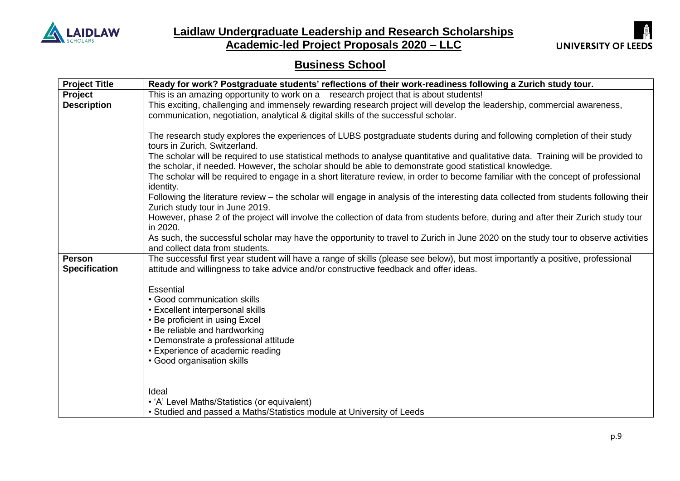

**Laidlaw Undergraduate Leadership and Research Scholarships**

**Academic-led Project Proposals 2020 – LLC**



# **Business School**

| <b>Project Title</b> | Ready for work? Postgraduate students' reflections of their work-readiness following a Zurich study tour.                                                 |
|----------------------|-----------------------------------------------------------------------------------------------------------------------------------------------------------|
| Project              | This is an amazing opportunity to work on a research project that is about students!                                                                      |
| <b>Description</b>   | This exciting, challenging and immensely rewarding research project will develop the leadership, commercial awareness,                                    |
|                      | communication, negotiation, analytical & digital skills of the successful scholar.                                                                        |
|                      |                                                                                                                                                           |
|                      | The research study explores the experiences of LUBS postgraduate students during and following completion of their study<br>tours in Zurich, Switzerland. |
|                      | The scholar will be required to use statistical methods to analyse quantitative and qualitative data. Training will be provided to                        |
|                      | the scholar, if needed. However, the scholar should be able to demonstrate good statistical knowledge.                                                    |
|                      | The scholar will be required to engage in a short literature review, in order to become familiar with the concept of professional                         |
|                      | identity.                                                                                                                                                 |
|                      | Following the literature review – the scholar will engage in analysis of the interesting data collected from students following their                     |
|                      | Zurich study tour in June 2019.                                                                                                                           |
|                      | However, phase 2 of the project will involve the collection of data from students before, during and after their Zurich study tour                        |
|                      | in 2020.                                                                                                                                                  |
|                      | As such, the successful scholar may have the opportunity to travel to Zurich in June 2020 on the study tour to observe activities                         |
|                      | and collect data from students.                                                                                                                           |
| <b>Person</b>        | The successful first year student will have a range of skills (please see below), but most importantly a positive, professional                           |
| <b>Specification</b> | attitude and willingness to take advice and/or constructive feedback and offer ideas.                                                                     |
|                      |                                                                                                                                                           |
|                      | <b>Essential</b>                                                                                                                                          |
|                      | • Good communication skills                                                                                                                               |
|                      | • Excellent interpersonal skills                                                                                                                          |
|                      | • Be proficient in using Excel                                                                                                                            |
|                      | • Be reliable and hardworking                                                                                                                             |
|                      | • Demonstrate a professional attitude                                                                                                                     |
|                      | • Experience of academic reading                                                                                                                          |
|                      | • Good organisation skills                                                                                                                                |
|                      |                                                                                                                                                           |
|                      | Ideal                                                                                                                                                     |
|                      | • 'A' Level Maths/Statistics (or equivalent)                                                                                                              |
|                      | • Studied and passed a Maths/Statistics module at University of Leeds                                                                                     |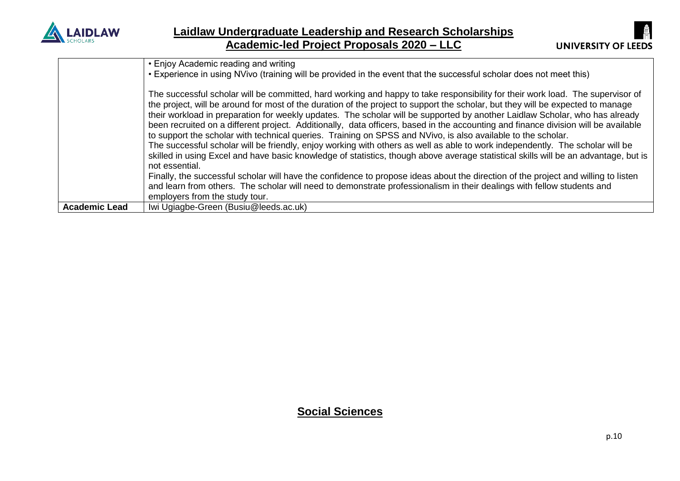



|                      | • Enjoy Academic reading and writing<br>• Experience in using NVivo (training will be provided in the event that the successful scholar does not meet this)                                                                                                          |
|----------------------|----------------------------------------------------------------------------------------------------------------------------------------------------------------------------------------------------------------------------------------------------------------------|
|                      |                                                                                                                                                                                                                                                                      |
|                      | The successful scholar will be committed, hard working and happy to take responsibility for their work load. The supervisor of<br>the project, will be around for most of the duration of the project to support the scholar, but they will be expected to manage    |
|                      | their workload in preparation for weekly updates. The scholar will be supported by another Laidlaw Scholar, who has already                                                                                                                                          |
|                      | been recruited on a different project. Additionally, data officers, based in the accounting and finance division will be available<br>to support the scholar with technical queries. Training on SPSS and NVivo, is also available to the scholar.                   |
|                      | The successful scholar will be friendly, enjoy working with others as well as able to work independently. The scholar will be<br>skilled in using Excel and have basic knowledge of statistics, though above average statistical skills will be an advantage, but is |
|                      | not essential.                                                                                                                                                                                                                                                       |
|                      | Finally, the successful scholar will have the confidence to propose ideas about the direction of the project and willing to listen                                                                                                                                   |
|                      | and learn from others. The scholar will need to demonstrate professionalism in their dealings with fellow students and<br>employers from the study tour.                                                                                                             |
| <b>Academic Lead</b> | Iwi Ugiagbe-Green (Busiu@leeds.ac.uk)                                                                                                                                                                                                                                |

### **Social Sciences**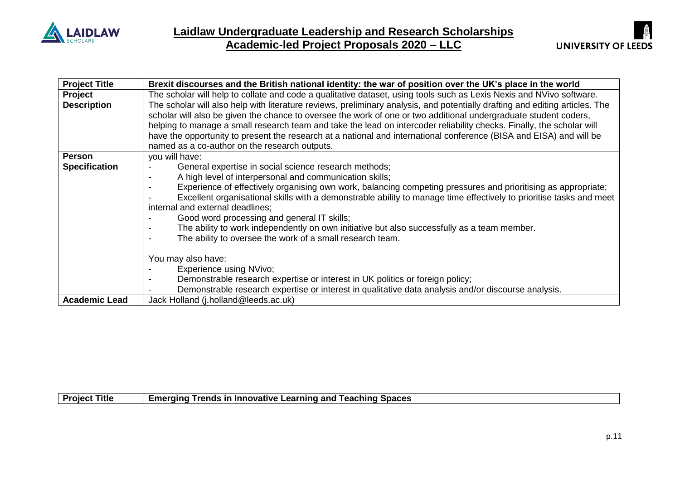



| <b>Project Title</b> | Brexit discourses and the British national identity: the war of position over the UK's place in the world                                                                                                                                        |
|----------------------|--------------------------------------------------------------------------------------------------------------------------------------------------------------------------------------------------------------------------------------------------|
| Project              | The scholar will help to collate and code a qualitative dataset, using tools such as Lexis Nexis and NVivo software.                                                                                                                             |
| <b>Description</b>   | The scholar will also help with literature reviews, preliminary analysis, and potentially drafting and editing articles. The<br>scholar will also be given the chance to oversee the work of one or two additional undergraduate student coders, |
|                      | helping to manage a small research team and take the lead on intercoder reliability checks. Finally, the scholar will                                                                                                                            |
|                      | have the opportunity to present the research at a national and international conference (BISA and EISA) and will be                                                                                                                              |
|                      | named as a co-author on the research outputs.                                                                                                                                                                                                    |
| <b>Person</b>        | you will have:                                                                                                                                                                                                                                   |
| <b>Specification</b> | General expertise in social science research methods;                                                                                                                                                                                            |
|                      | A high level of interpersonal and communication skills;                                                                                                                                                                                          |
|                      | Experience of effectively organising own work, balancing competing pressures and prioritising as appropriate;                                                                                                                                    |
|                      | Excellent organisational skills with a demonstrable ability to manage time effectively to prioritise tasks and meet                                                                                                                              |
|                      | internal and external deadlines;                                                                                                                                                                                                                 |
|                      | Good word processing and general IT skills;                                                                                                                                                                                                      |
|                      | The ability to work independently on own initiative but also successfully as a team member.                                                                                                                                                      |
|                      | The ability to oversee the work of a small research team.                                                                                                                                                                                        |
|                      |                                                                                                                                                                                                                                                  |
|                      | You may also have:                                                                                                                                                                                                                               |
|                      | Experience using NVivo;                                                                                                                                                                                                                          |
|                      | Demonstrable research expertise or interest in UK politics or foreign policy;                                                                                                                                                                    |
|                      | Demonstrable research expertise or interest in qualitative data analysis and/or discourse analysis.                                                                                                                                              |
| <b>Academic Lead</b> | Jack Holland (j.holland@leeds.ac.uk)                                                                                                                                                                                                             |

|  | <b>Project Title</b> | <b>Emerging Trends in Innovative Learning and Teaching Spaces</b> |  |
|--|----------------------|-------------------------------------------------------------------|--|
|--|----------------------|-------------------------------------------------------------------|--|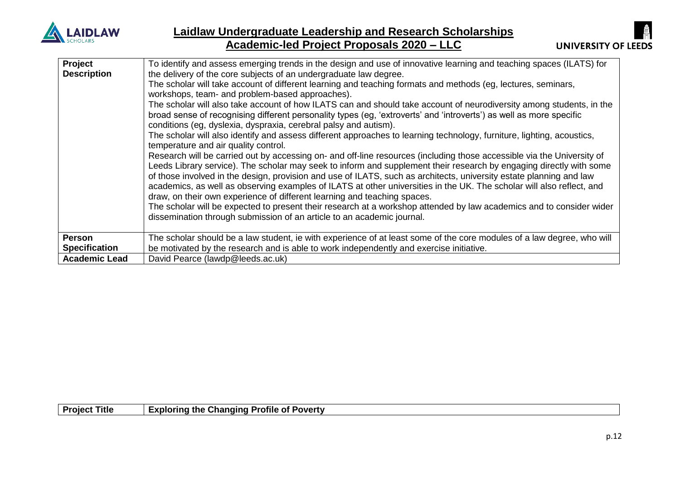

| Project              | To identify and assess emerging trends in the design and use of innovative learning and teaching spaces (ILATS) for    |
|----------------------|------------------------------------------------------------------------------------------------------------------------|
| <b>Description</b>   | the delivery of the core subjects of an undergraduate law degree.                                                      |
|                      | The scholar will take account of different learning and teaching formats and methods (eg, lectures, seminars,          |
|                      | workshops, team- and problem-based approaches).                                                                        |
|                      | The scholar will also take account of how ILATS can and should take account of neurodiversity among students, in the   |
|                      | broad sense of recognising different personality types (eg, 'extroverts' and 'introverts') as well as more specific    |
|                      | conditions (eg, dyslexia, dyspraxia, cerebral palsy and autism).                                                       |
|                      | The scholar will also identify and assess different approaches to learning technology, furniture, lighting, acoustics, |
|                      | temperature and air quality control.                                                                                   |
|                      | Research will be carried out by accessing on- and off-line resources (including those accessible via the University of |
|                      | Leeds Library service). The scholar may seek to inform and supplement their research by engaging directly with some    |
|                      | of those involved in the design, provision and use of ILATS, such as architects, university estate planning and law    |
|                      | academics, as well as observing examples of ILATS at other universities in the UK. The scholar will also reflect, and  |
|                      | draw, on their own experience of different learning and teaching spaces.                                               |
|                      | The scholar will be expected to present their research at a workshop attended by law academics and to consider wider   |
|                      | dissemination through submission of an article to an academic journal.                                                 |
|                      |                                                                                                                        |
| <b>Person</b>        | The scholar should be a law student, ie with experience of at least some of the core modules of a law degree, who will |
| <b>Specification</b> | be motivated by the research and is able to work independently and exercise initiative.                                |
| <b>Academic Lead</b> | David Pearce (lawdp@leeds.ac.uk)                                                                                       |
|                      |                                                                                                                        |

| <b>Project</b> | <b>Exploring the Changing Profile of Poverty</b> |
|----------------|--------------------------------------------------|
| <b>Title</b>   | - -                                              |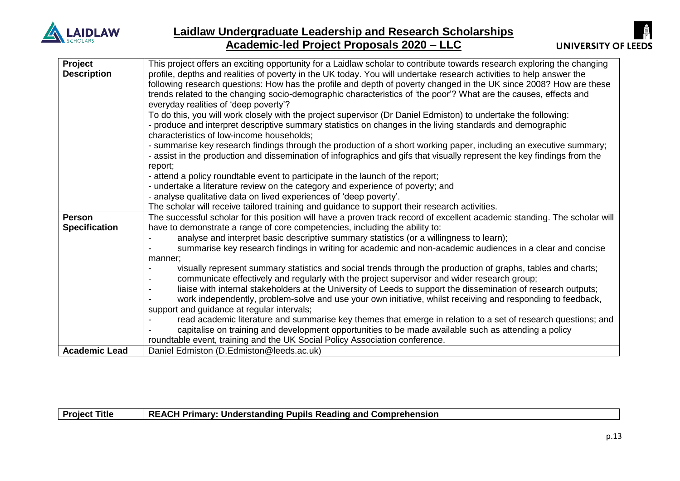

| Project              | This project offers an exciting opportunity for a Laidlaw scholar to contribute towards research exploring the changing   |
|----------------------|---------------------------------------------------------------------------------------------------------------------------|
| <b>Description</b>   | profile, depths and realities of poverty in the UK today. You will undertake research activities to help answer the       |
|                      | following research questions: How has the profile and depth of poverty changed in the UK since 2008? How are these        |
|                      | trends related to the changing socio-demographic characteristics of 'the poor'? What are the causes, effects and          |
|                      | everyday realities of 'deep poverty'?                                                                                     |
|                      | To do this, you will work closely with the project supervisor (Dr Daniel Edmiston) to undertake the following:            |
|                      | - produce and interpret descriptive summary statistics on changes in the living standards and demographic                 |
|                      | characteristics of low-income households;                                                                                 |
|                      | - summarise key research findings through the production of a short working paper, including an executive summary;        |
|                      | - assist in the production and dissemination of infographics and gifs that visually represent the key findings from the   |
|                      | report;                                                                                                                   |
|                      | - attend a policy roundtable event to participate in the launch of the report;                                            |
|                      | - undertake a literature review on the category and experience of poverty; and                                            |
|                      | - analyse qualitative data on lived experiences of 'deep poverty'.                                                        |
|                      | The scholar will receive tailored training and guidance to support their research activities.                             |
| <b>Person</b>        | The successful scholar for this position will have a proven track record of excellent academic standing. The scholar will |
| <b>Specification</b> | have to demonstrate a range of core competencies, including the ability to:                                               |
|                      | analyse and interpret basic descriptive summary statistics (or a willingness to learn);                                   |
|                      | summarise key research findings in writing for academic and non-academic audiences in a clear and concise                 |
|                      | manner;                                                                                                                   |
|                      | visually represent summary statistics and social trends through the production of graphs, tables and charts;              |
|                      | communicate effectively and regularly with the project supervisor and wider research group;                               |
|                      | liaise with internal stakeholders at the University of Leeds to support the dissemination of research outputs;            |
|                      | work independently, problem-solve and use your own initiative, whilst receiving and responding to feedback,               |
|                      | support and guidance at regular intervals;                                                                                |
|                      | read academic literature and summarise key themes that emerge in relation to a set of research questions; and             |
|                      | capitalise on training and development opportunities to be made available such as attending a policy                      |
|                      | roundtable event, training and the UK Social Policy Association conference.                                               |
| <b>Academic Lead</b> | Daniel Edmiston (D.Edmiston@leeds.ac.uk)                                                                                  |

**Project Title REACH Primary: Understanding Pupils Reading and Comprehension**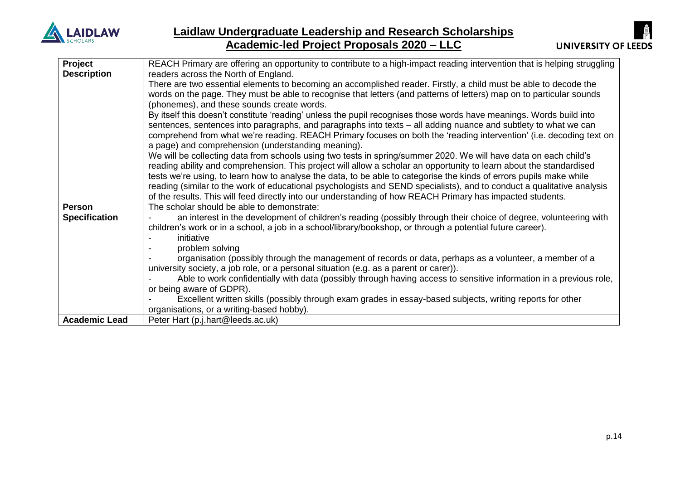

| Project              | REACH Primary are offering an opportunity to contribute to a high-impact reading intervention that is helping struggling |
|----------------------|--------------------------------------------------------------------------------------------------------------------------|
| <b>Description</b>   | readers across the North of England.                                                                                     |
|                      | There are two essential elements to becoming an accomplished reader. Firstly, a child must be able to decode the         |
|                      | words on the page. They must be able to recognise that letters (and patterns of letters) map on to particular sounds     |
|                      | (phonemes), and these sounds create words.                                                                               |
|                      | By itself this doesn't constitute 'reading' unless the pupil recognises those words have meanings. Words build into      |
|                      | sentences, sentences into paragraphs, and paragraphs into texts – all adding nuance and subtlety to what we can          |
|                      | comprehend from what we're reading. REACH Primary focuses on both the 'reading intervention' (i.e. decoding text on      |
|                      | a page) and comprehension (understanding meaning).                                                                       |
|                      | We will be collecting data from schools using two tests in spring/summer 2020. We will have data on each child's         |
|                      | reading ability and comprehension. This project will allow a scholar an opportunity to learn about the standardised      |
|                      | tests we're using, to learn how to analyse the data, to be able to categorise the kinds of errors pupils make while      |
|                      | reading (similar to the work of educational psychologists and SEND specialists), and to conduct a qualitative analysis   |
|                      | of the results. This will feed directly into our understanding of how REACH Primary has impacted students.               |
| <b>Person</b>        | The scholar should be able to demonstrate:                                                                               |
| <b>Specification</b> | an interest in the development of children's reading (possibly through their choice of degree, volunteering with         |
|                      | children's work or in a school, a job in a school/library/bookshop, or through a potential future career).               |
|                      | initiative                                                                                                               |
|                      | problem solving                                                                                                          |
|                      | organisation (possibly through the management of records or data, perhaps as a volunteer, a member of a                  |
|                      | university society, a job role, or a personal situation (e.g. as a parent or carer)).                                    |
|                      | Able to work confidentially with data (possibly through having access to sensitive information in a previous role,       |
|                      | or being aware of GDPR).                                                                                                 |
|                      | Excellent written skills (possibly through exam grades in essay-based subjects, writing reports for other                |
|                      | organisations, or a writing-based hobby).                                                                                |
| <b>Academic Lead</b> | Peter Hart (p.j.hart@leeds.ac.uk)                                                                                        |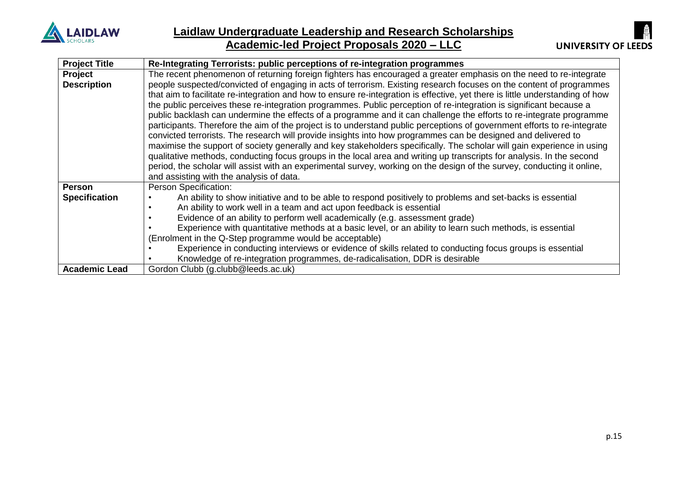

| <b>Project Title</b> | Re-Integrating Terrorists: public perceptions of re-integration programmes                                                    |
|----------------------|-------------------------------------------------------------------------------------------------------------------------------|
| Project              | The recent phenomenon of returning foreign fighters has encouraged a greater emphasis on the need to re-integrate             |
| <b>Description</b>   | people suspected/convicted of engaging in acts of terrorism. Existing research focuses on the content of programmes           |
|                      | that aim to facilitate re-integration and how to ensure re-integration is effective, yet there is little understanding of how |
|                      | the public perceives these re-integration programmes. Public perception of re-integration is significant because a            |
|                      | public backlash can undermine the effects of a programme and it can challenge the efforts to re-integrate programme           |
|                      | participants. Therefore the aim of the project is to understand public perceptions of government efforts to re-integrate      |
|                      | convicted terrorists. The research will provide insights into how programmes can be designed and delivered to                 |
|                      | maximise the support of society generally and key stakeholders specifically. The scholar will gain experience in using        |
|                      | qualitative methods, conducting focus groups in the local area and writing up transcripts for analysis. In the second         |
|                      | period, the scholar will assist with an experimental survey, working on the design of the survey, conducting it online,       |
|                      | and assisting with the analysis of data.                                                                                      |
| <b>Person</b>        | Person Specification:                                                                                                         |
| <b>Specification</b> | An ability to show initiative and to be able to respond positively to problems and set-backs is essential                     |
|                      | An ability to work well in a team and act upon feedback is essential                                                          |
|                      | Evidence of an ability to perform well academically (e.g. assessment grade)                                                   |
|                      | Experience with quantitative methods at a basic level, or an ability to learn such methods, is essential                      |
|                      | (Enrolment in the Q-Step programme would be acceptable)                                                                       |
|                      | Experience in conducting interviews or evidence of skills related to conducting focus groups is essential                     |
|                      | Knowledge of re-integration programmes, de-radicalisation, DDR is desirable                                                   |
| <b>Academic Lead</b> | Gordon Clubb (g.clubb@leeds.ac.uk)                                                                                            |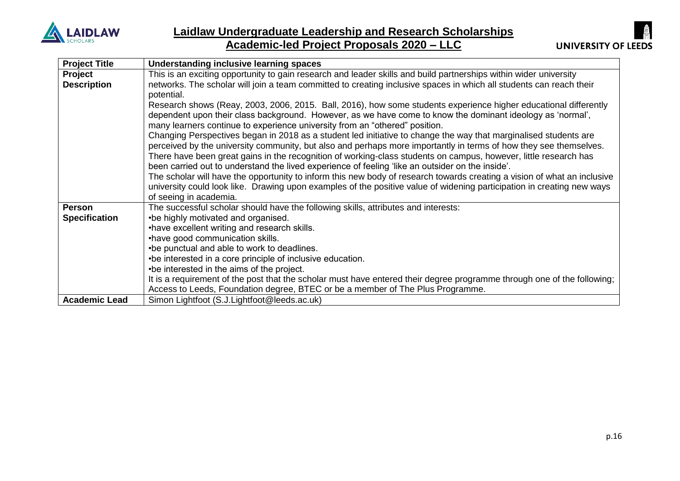



| <b>Project Title</b> | Understanding inclusive learning spaces                                                                                  |
|----------------------|--------------------------------------------------------------------------------------------------------------------------|
| Project              | This is an exciting opportunity to gain research and leader skills and build partnerships within wider university        |
| <b>Description</b>   | networks. The scholar will join a team committed to creating inclusive spaces in which all students can reach their      |
|                      | potential.                                                                                                               |
|                      | Research shows (Reay, 2003, 2006, 2015. Ball, 2016), how some students experience higher educational differently         |
|                      | dependent upon their class background. However, as we have come to know the dominant ideology as 'normal',               |
|                      | many learners continue to experience university from an "othered" position.                                              |
|                      | Changing Perspectives began in 2018 as a student led initiative to change the way that marginalised students are         |
|                      | perceived by the university community, but also and perhaps more importantly in terms of how they see themselves.        |
|                      | There have been great gains in the recognition of working-class students on campus, however, little research has         |
|                      | been carried out to understand the lived experience of feeling 'like an outsider on the inside'.                         |
|                      | The scholar will have the opportunity to inform this new body of research towards creating a vision of what an inclusive |
|                      | university could look like. Drawing upon examples of the positive value of widening participation in creating new ways   |
|                      | of seeing in academia.                                                                                                   |
| <b>Person</b>        | The successful scholar should have the following skills, attributes and interests:                                       |
| <b>Specification</b> | •be highly motivated and organised.                                                                                      |
|                      | • have excellent writing and research skills.                                                                            |
|                      | •have good communication skills.                                                                                         |
|                      | •be punctual and able to work to deadlines.                                                                              |
|                      | • be interested in a core principle of inclusive education.                                                              |
|                      | •be interested in the aims of the project.                                                                               |
|                      | It is a requirement of the post that the scholar must have entered their degree programme through one of the following;  |
|                      | Access to Leeds, Foundation degree, BTEC or be a member of The Plus Programme.                                           |
| <b>Academic Lead</b> | Simon Lightfoot (S.J.Lightfoot@leeds.ac.uk)                                                                              |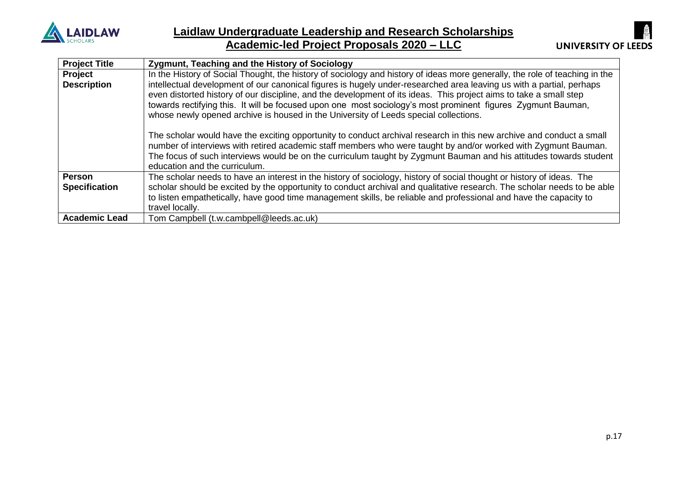

### **Laidlaw Undergraduate Leadership and Research Scholarships Academic-led Project Proposals 2020 – LLC**



| <b>Project Title</b> | Zygmunt, Teaching and the History of Sociology                                                                                                                                                                                                                                                                                                                                                                                                                                                                                                                                                                                                                                                                                                                                                                                                      |
|----------------------|-----------------------------------------------------------------------------------------------------------------------------------------------------------------------------------------------------------------------------------------------------------------------------------------------------------------------------------------------------------------------------------------------------------------------------------------------------------------------------------------------------------------------------------------------------------------------------------------------------------------------------------------------------------------------------------------------------------------------------------------------------------------------------------------------------------------------------------------------------|
| Project              | In the History of Social Thought, the history of sociology and history of ideas more generally, the role of teaching in the                                                                                                                                                                                                                                                                                                                                                                                                                                                                                                                                                                                                                                                                                                                         |
| <b>Description</b>   | intellectual development of our canonical figures is hugely under-researched area leaving us with a partial, perhaps<br>even distorted history of our discipline, and the development of its ideas. This project aims to take a small step<br>towards rectifying this. It will be focused upon one most sociology's most prominent figures Zygmunt Bauman,<br>whose newly opened archive is housed in the University of Leeds special collections.<br>The scholar would have the exciting opportunity to conduct archival research in this new archive and conduct a small<br>number of interviews with retired academic staff members who were taught by and/or worked with Zygmunt Bauman.<br>The focus of such interviews would be on the curriculum taught by Zygmunt Bauman and his attitudes towards student<br>education and the curriculum. |
| Person               | The scholar needs to have an interest in the history of sociology, history of social thought or history of ideas. The                                                                                                                                                                                                                                                                                                                                                                                                                                                                                                                                                                                                                                                                                                                               |
| <b>Specification</b> | scholar should be excited by the opportunity to conduct archival and qualitative research. The scholar needs to be able<br>to listen empathetically, have good time management skills, be reliable and professional and have the capacity to                                                                                                                                                                                                                                                                                                                                                                                                                                                                                                                                                                                                        |
|                      | travel locally.                                                                                                                                                                                                                                                                                                                                                                                                                                                                                                                                                                                                                                                                                                                                                                                                                                     |
| <b>Academic Lead</b> | Tom Campbell (t.w.cambpell@leeds.ac.uk)                                                                                                                                                                                                                                                                                                                                                                                                                                                                                                                                                                                                                                                                                                                                                                                                             |